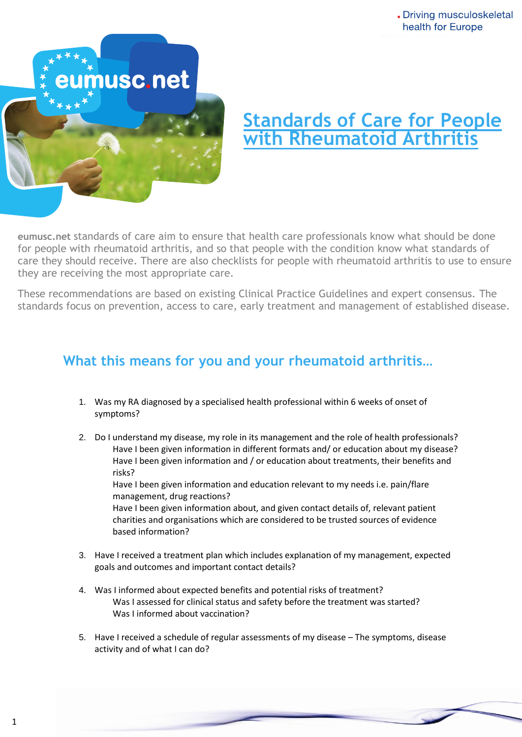

## **Standards of Care for People with Rheumatoid Arthritis**

Dramaardo or care ami for people with rheumatoid arthritis, and so that people with the condition know what standards of **eumusc.net** standards of care aim to ensure that health care professionals know what should be done care they should receive. There are also checklists for people with rheumatoid arthritis to use to ensure they are receiving the most appropriate care.

These recommendations are based on existing Clinical Practice Guidelines and expert consensus. The standards focus on prevention, access to care, early treatment and management of established disease.

## **What this means for you and your rheumatoid arthritis…**

- 1. Was my RA diagnosed by a specialised health professional within 6 weeks of onset of symptoms?
- 2. Do I understand my disease, my role in its management and the role of health professionals? Have I been given information in different formats and/ or education about my disease? Have I been given information and / or education about treatments, their benefits and risks?

Have I been given information and education relevant to my needs i.e. pain/flare management, drug reactions?

Have I been given information about, and given contact details of, relevant patient charities and organisations which are considered to be trusted sources of evidence based information?

- 3. Have I received a treatment plan which includes explanation of my management, expected goals and outcomes and important contact details?
- 4. Was I informed about expected benefits and potential risks of treatment? Was I assessed for clinical status and safety before the treatment was started? Was I informed about vaccination?
- 5. Have I received a schedule of regular assessments of my disease The symptoms, disease activity and of what I can do?